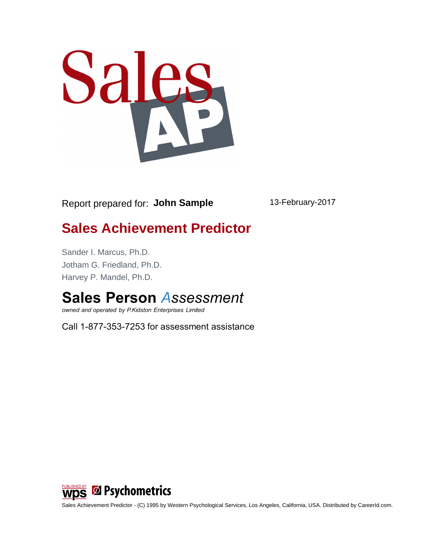

Report prepared for: **John Sample** 13-February-2017

# **Sales Achievement Predictor**

Sander I. Marcus, Ph.D. Jotham G. Friedland, Ph.D. Harvey P. Mandel, Ph.D.

# **Sales Person Assessment**

owned and operated by P.Kidston Enterprises Limited

Call 1-877-353-7253 for assessment assistance



Sales Achievement Predictor - (C) 1995 by Western Psychological Services, Los Angeles, California, USA. Distributed by CareerId.com.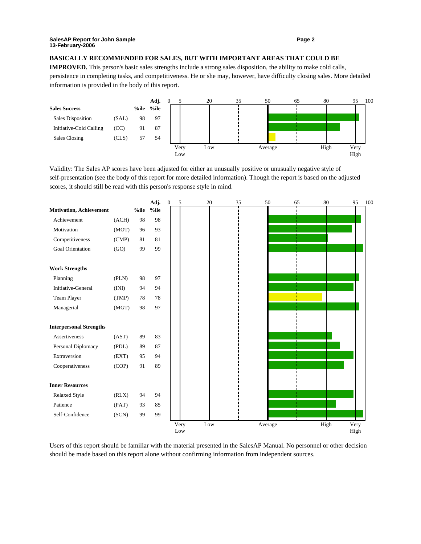#### **BASICALLY RECOMMENDED FOR SALES, BUT WITH IMPORTANT AREAS THAT COULD BE**

**IMPROVED.** This person's basic sales strengths include a strong sales disposition, the ability to make cold calls, persistence in completing tasks, and competitiveness. He or she may, however, have difficulty closing sales. More detailed information is provided in the body of this report.



Validity: The Sales AP scores have been adjusted for either an unusually positive or unusually negative style of self-presentation (see the body of this report for more detailed information). Though the report is based on the adjusted scores, it should still be read with this person's response style in mind.



Users of this report should be familiar with the material presented in the SalesAP Manual. No personnel or other decision should be made based on this report alone without confirming information from independent sources.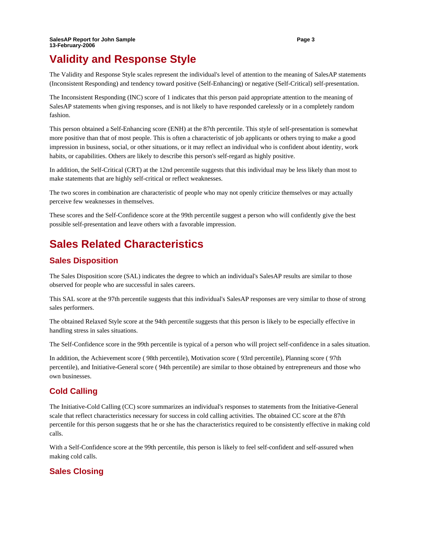## **Validity and Response Style**

The Validity and Response Style scales represent the individual's level of attention to the meaning of SalesAP statements (Inconsistent Responding) and tendency toward positive (Self-Enhancing) or negative (Self-Critical) self-presentation.

The Inconsistent Responding (INC) score of 1 indicates that this person paid appropriate attention to the meaning of SalesAP statements when giving responses, and is not likely to have responded carelessly or in a completely random fashion.

This person obtained a Self-Enhancing score (ENH) at the 87th percentile. This style of self-presentation is somewhat more positive than that of most people. This is often a characteristic of job applicants or others trying to make a good impression in business, social, or other situations, or it may reflect an individual who is confident about identity, work habits, or capabilities. Others are likely to describe this person's self-regard as highly positive.

In addition, the Self-Critical (CRT) at the 12nd percentile suggests that this individual may be less likely than most to make statements that are highly self-critical or reflect weaknesses.

The two scores in combination are characteristic of people who may not openly criticize themselves or may actually perceive few weaknesses in themselves.

These scores and the Self-Confidence score at the 99th percentile suggest a person who will confidently give the best possible self-presentation and leave others with a favorable impression.

## **Sales Related Characteristics**

## **Sales Disposition**

The Sales Disposition score (SAL) indicates the degree to which an individual's SalesAP results are similar to those observed for people who are successful in sales careers.

This SAL score at the 97th percentile suggests that this individual's SalesAP responses are very similar to those of strong sales performers.

The obtained Relaxed Style score at the 94th percentile suggests that this person is likely to be especially effective in handling stress in sales situations.

The Self-Confidence score in the 99th percentile is typical of a person who will project self-confidence in a sales situation.

In addition, the Achievement score ( 98th percentile), Motivation score ( 93rd percentile), Planning score ( 97th percentile), and Initiative-General score ( 94th percentile) are similar to those obtained by entrepreneurs and those who own businesses.

### **Cold Calling**

The Initiative-Cold Calling (CC) score summarizes an individual's responses to statements from the Initiative-General scale that reflect characteristics necessary for success in cold calling activities. The obtained CC score at the 87th percentile for this person suggests that he or she has the characteristics required to be consistently effective in making cold calls.

With a Self-Confidence score at the 99th percentile, this person is likely to feel self-confident and self-assured when making cold calls.

### **Sales Closing**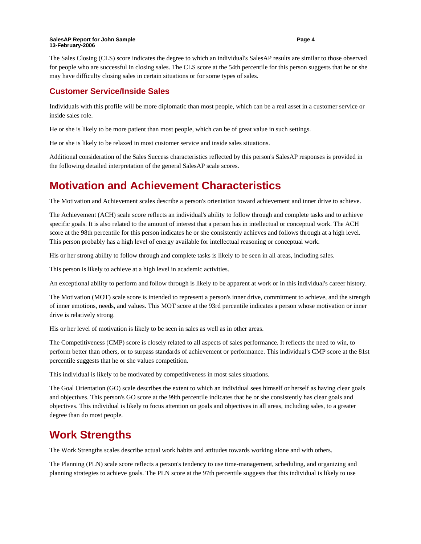#### **SalesAP Report for John Sample Page 4 13-February-2006**

The Sales Closing (CLS) score indicates the degree to which an individual's SalesAP results are similar to those observed for people who are successful in closing sales. The CLS score at the 54th percentile for this person suggests that he or she may have difficulty closing sales in certain situations or for some types of sales.

### **Customer Service/Inside Sales**

Individuals with this profile will be more diplomatic than most people, which can be a real asset in a customer service or inside sales role.

He or she is likely to be more patient than most people, which can be of great value in such settings.

He or she is likely to be relaxed in most customer service and inside sales situations.

Additional consideration of the Sales Success characteristics reflected by this person's SalesAP responses is provided in the following detailed interpretation of the general SalesAP scale scores.

## **Motivation and Achievement Characteristics**

The Motivation and Achievement scales describe a person's orientation toward achievement and inner drive to achieve.

The Achievement (ACH) scale score reflects an individual's ability to follow through and complete tasks and to achieve specific goals. It is also related to the amount of interest that a person has in intellectual or conceptual work. The ACH score at the 98th percentile for this person indicates he or she consistently achieves and follows through at a high level. This person probably has a high level of energy available for intellectual reasoning or conceptual work.

His or her strong ability to follow through and complete tasks is likely to be seen in all areas, including sales.

This person is likely to achieve at a high level in academic activities.

An exceptional ability to perform and follow through is likely to be apparent at work or in this individual's career history.

The Motivation (MOT) scale score is intended to represent a person's inner drive, commitment to achieve, and the strength of inner emotions, needs, and values. This MOT score at the 93rd percentile indicates a person whose motivation or inner drive is relatively strong.

His or her level of motivation is likely to be seen in sales as well as in other areas.

The Competitiveness (CMP) score is closely related to all aspects of sales performance. It reflects the need to win, to perform better than others, or to surpass standards of achievement or performance. This individual's CMP score at the 81st percentile suggests that he or she values competition.

This individual is likely to be motivated by competitiveness in most sales situations.

The Goal Orientation (GO) scale describes the extent to which an individual sees himself or herself as having clear goals and objectives. This person's GO score at the 99th percentile indicates that he or she consistently has clear goals and objectives. This individual is likely to focus attention on goals and objectives in all areas, including sales, to a greater degree than do most people.

## **Work Strengths**

The Work Strengths scales describe actual work habits and attitudes towards working alone and with others.

The Planning (PLN) scale score reflects a person's tendency to use time-management, scheduling, and organizing and planning strategies to achieve goals. The PLN score at the 97th percentile suggests that this individual is likely to use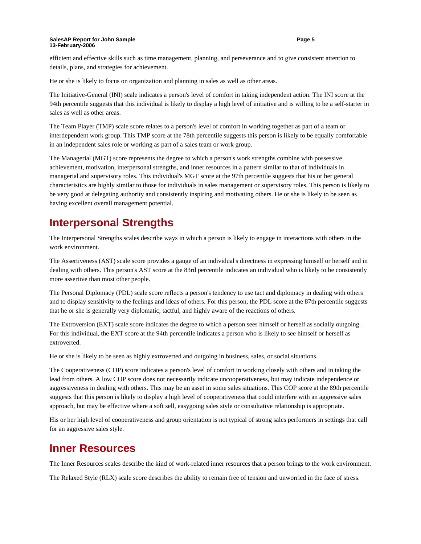#### **SalesAP Report for John Sample Page 5 13-February-2006**

efficient and effective skills such as time management, planning, and perseverance and to give consistent attention to details, plans, and strategies for achievement.

He or she is likely to focus on organization and planning in sales as well as other areas.

The Initiative-General (INI) scale indicates a person's level of comfort in taking independent action. The INI score at the 94th percentile suggests that this individual is likely to display a high level of initiative and is willing to be a self-starter in sales as well as other areas.

The Team Player (TMP) scale score relates to a person's level of comfort in working together as part of a team or interdependent work group. This TMP score at the 78th percentile suggests this person is likely to be equally comfortable in an independent sales role or working as part of a sales team or work group.

The Managerial (MGT) score represents the degree to which a person's work strengths combine with possessive achievement, motivation, interpersonal strengths, and inner resources in a pattern similar to that of individuals in managerial and supervisory roles. This individual's MGT score at the 97th percentile suggests that his or her general characteristics are highly similar to those for individuals in sales management or supervisory roles. This person is likely to be very good at delegating authority and consistently inspiring and motivating others. He or she is likely to be seen as having excellent overall management potential.

## **Interpersonal Strengths**

The Interpersonal Strengths scales describe ways in which a person is likely to engage in interactions with others in the work environment.

The Assertiveness (AST) scale score provides a gauge of an individual's directness in expressing himself or herself and in dealing with others. This person's AST score at the 83rd percentile indicates an individual who is likely to be consistently more assertive than most other people.

The Personal Diplomacy (PDL) scale score reflects a person's tendency to use tact and diplomacy in dealing with others and to display sensitivity to the feelings and ideas of others. For this person, the PDL score at the 87th percentile suggests that he or she is generally very diplomatic, tactful, and highly aware of the reactions of others.

The Extroversion (EXT) scale score indicates the degree to which a person sees himself or herself as socially outgoing. For this individual, the EXT score at the 94th percentile indicates a person who is likely to see himself or herself as extroverted.

He or she is likely to be seen as highly extroverted and outgoing in business, sales, or social situations.

The Cooperativeness (COP) score indicates a person's level of comfort in working closely with others and in taking the lead from others. A low COP score does not necessarily indicate uncooperativeness, but may indicate independence or aggressiveness in dealing with others. This may be an asset in some sales situations. This COP score at the 89th percentile suggests that this person is likely to display a high level of cooperativeness that could interfere with an aggressive sales approach, but may be effective where a soft sell, easygoing sales style or consultative relationship is appropriate.

His or her high level of cooperativeness and group orientation is not typical of strong sales performers in settings that call for an aggressive sales style.

## **Inner Resources**

The Inner Resources scales describe the kind of work-related inner resources that a person brings to the work environment.

The Relaxed Style (RLX) scale score describes the ability to remain free of tension and unworried in the face of stress.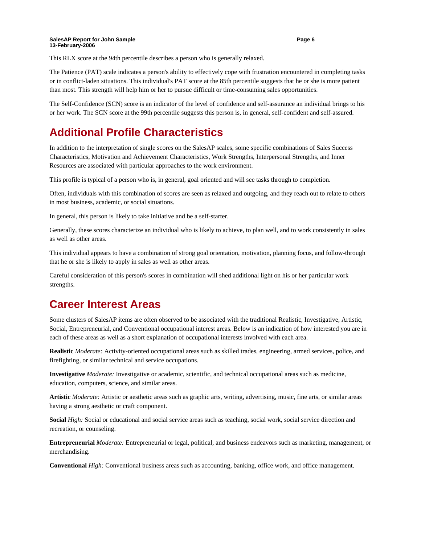#### **SalesAP Report for John Sample Page 6 13-February-2006**

This RLX score at the 94th percentile describes a person who is generally relaxed.

The Patience (PAT) scale indicates a person's ability to effectively cope with frustration encountered in completing tasks or in conflict-laden situations. This individual's PAT score at the 85th percentile suggests that he or she is more patient than most. This strength will help him or her to pursue difficult or time-consuming sales opportunities.

The Self-Confidence (SCN) score is an indicator of the level of confidence and self-assurance an individual brings to his or her work. The SCN score at the 99th percentile suggests this person is, in general, self-confident and self-assured.

## **Additional Profile Characteristics**

In addition to the interpretation of single scores on the SalesAP scales, some specific combinations of Sales Success Characteristics, Motivation and Achievement Characteristics, Work Strengths, Interpersonal Strengths, and Inner Resources are associated with particular approaches to the work environment.

This profile is typical of a person who is, in general, goal oriented and will see tasks through to completion.

Often, individuals with this combination of scores are seen as relaxed and outgoing, and they reach out to relate to others in most business, academic, or social situations.

In general, this person is likely to take initiative and be a self-starter.

Generally, these scores characterize an individual who is likely to achieve, to plan well, and to work consistently in sales as well as other areas.

This individual appears to have a combination of strong goal orientation, motivation, planning focus, and follow-through that he or she is likely to apply in sales as well as other areas.

Careful consideration of this person's scores in combination will shed additional light on his or her particular work strengths.

## **Career Interest Areas**

Some clusters of SalesAP items are often observed to be associated with the traditional Realistic, Investigative, Artistic, Social, Entrepreneurial, and Conventional occupational interest areas. Below is an indication of how interested you are in each of these areas as well as a short explanation of occupational interests involved with each area.

**Realistic** *Moderate:* Activity-oriented occupational areas such as skilled trades, engineering, armed services, police, and firefighting, or similar technical and service occupations.

**Investigative** *Moderate:* Investigative or academic, scientific, and technical occupational areas such as medicine, education, computers, science, and similar areas.

**Artistic** *Moderate:* Artistic or aesthetic areas such as graphic arts, writing, advertising, music, fine arts, or similar areas having a strong aesthetic or craft component.

**Social** *High:* Social or educational and social service areas such as teaching, social work, social service direction and recreation, or counseling.

**Entrepreneurial** *Moderate:* Entrepreneurial or legal, political, and business endeavors such as marketing, management, or merchandising.

**Conventional** *High:* Conventional business areas such as accounting, banking, office work, and office management.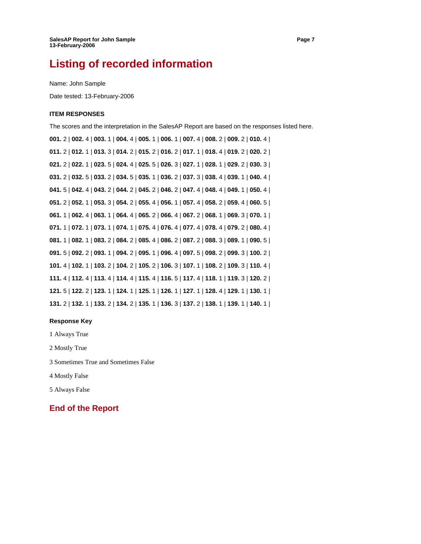## **Listing of recorded information**

Name: John Sample

Date tested: 13-February-2006

#### **ITEM RESPONSES**

The scores and the interpretation in the SalesAP Report are based on the responses listed here.

**001.** 2 | **002.** 4 | **003.** 1 | **004.** 4 | **005.** 1 | **006.** 1 | **007.** 4 | **008.** 2 | **009.** 2 | **010.** 4 | **011.** 2 | **012.** 1 | **013.** 3 | **014.** 2 | **015.** 2 | **016.** 2 | **017.** 1 | **018.** 4 | **019.** 2 | **020.** 2 | **021.** 2 | **022.** 1 | **023.** 5 | **024.** 4 | **025.** 5 | **026.** 3 | **027.** 1 | **028.** 1 | **029.** 2 | **030.** 3 | **031.** 2 | **032.** 5 | **033.** 2 | **034.** 5 | **035.** 1 | **036.** 2 | **037.** 3 | **038.** 4 | **039.** 1 | **040.** 4 | **041.** 5 | **042.** 4 | **043.** 2 | **044.** 2 | **045.** 2 | **046.** 2 | **047.** 4 | **048.** 4 | **049.** 1 | **050.** 4 | **051.** 2 | **052.** 1 | **053.** 3 | **054.** 2 | **055.** 4 | **056.** 1 | **057.** 4 | **058.** 2 | **059.** 4 | **060.** 5 | **061.** 1 | **062.** 4 | **063.** 1 | **064.** 4 | **065.** 2 | **066.** 4 | **067.** 2 | **068.** 1 | **069.** 3 | **070.** 1 | **071.** 1 | **072.** 1 | **073.** 1 | **074.** 1 | **075.** 4 | **076.** 4 | **077.** 4 | **078.** 4 | **079.** 2 | **080.** 4 | **081.** 1 | **082.** 1 | **083.** 2 | **084.** 2 | **085.** 4 | **086.** 2 | **087.** 2 | **088.** 3 | **089.** 1 | **090.** 5 | **091.** 5 | **092.** 2 | **093.** 1 | **094.** 2 | **095.** 1 | **096.** 4 | **097.** 5 | **098.** 2 | **099.** 3 | **100.** 2 | **101.** 4 | **102.** 1 | **103.** 2 | **104.** 2 | **105.** 2 | **106.** 3 | **107.** 1 | **108.** 2 | **109.** 3 | **110.** 4 | **111.** 4 | **112.** 4 | **113.** 4 | **114.** 4 | **115.** 4 | **116.** 5 | **117.** 4 | **118.** 1 | **119.** 3 | **120.** 2 | **121.** 5 | **122.** 2 | **123.** 1 | **124.** 1 | **125.** 1 | **126.** 1 | **127.** 1 | **128.** 4 | **129.** 1 | **130.** 1 | **131.** 2 | **132.** 1 | **133.** 2 | **134.** 2 | **135.** 1 | **136.** 3 | **137.** 2 | **138.** 1 | **139.** 1 | **140.** 1 |

#### **Response Key**

1 Always True

2 Mostly True

3 Sometimes True and Sometimes False

4 Mostly False

5 Always False

#### **End of the Report**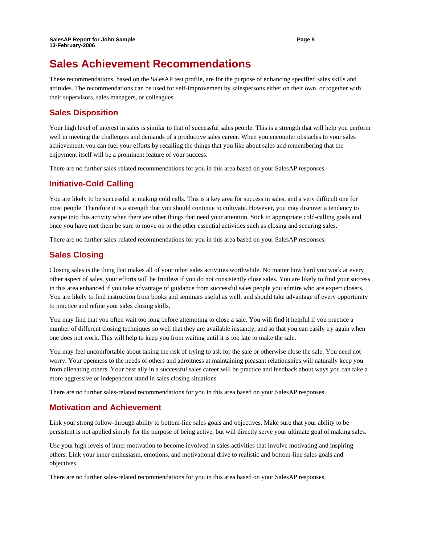## **Sales Achievement Recommendations**

These recommendations, based on the SalesAP test profile, are for the purpose of enhancing specified sales skills and attitudes. The recommendations can be used for self-improvement by salespersons either on their own, or together with their supervisors, sales managers, or colleagues.

## **Sales Disposition**

Your high level of interest in sales is similar to that of successful sales people. This is a strength that will help you perform well in meeting the challenges and demands of a productive sales career. When you encounter obstacles to your sales achievement, you can fuel your efforts by recalling the things that you like about sales and remembering that the enjoyment itself will be a prominent feature of your success.

There are no further sales-related recommendations for you in this area based on your SalesAP responses.

## **Initiative-Cold Calling**

You are likely to be successful at making cold calls. This is a key area for success in sales, and a very difficult one for most people. Therefore it is a strength that you should continue to cultivate. However, you may discover a tendency to escape into this activity when there are other things that need your attention. Stick to appropriate cold-calling goals and once you have met them be sure to move on to the other essential activities such as closing and securing sales.

There are no further sales-related recommendations for you in this area based on your SalesAP responses.

## **Sales Closing**

Closing sales is the thing that makes all of your other sales activities worthwhile. No matter how hard you work at every other aspect of sales, your efforts will be fruitless if you do not consistently close sales. You are likely to find your success in this area enhanced if you take advantage of guidance from successful sales people you admire who are expert closers. You are likely to find instruction from books and seminars useful as well, and should take advantage of every opportunity to practice and refine your sales closing skills.

You may find that you often wait too long before attempting to close a sale. You will find it helpful if you practice a number of different closing techniques so well that they are available instantly, and so that you can easily try again when one does not work. This will help to keep you from waiting until it is too late to make the sale.

You may feel uncomfortable about taking the risk of trying to ask for the sale or otherwise close the sale. You need not worry. Your openness to the needs of others and adroitness at maintaining pleasant relationships will naturally keep you from alienating others. Your best ally in a successful sales career will be practice and feedback about ways you can take a more aggressive or independent stand in sales closing situations.

There are no further sales-related recommendations for you in this area based on your SalesAP responses.

### **Motivation and Achievement**

Link your strong follow-through ability to bottom-line sales goals and objectives. Make sure that your ability to be persistent is not applied simply for the purpose of being active, but will directly serve your ultimate goal of making sales.

Use your high levels of inner motivation to become involved in sales activities that involve motivating and inspiring others. Link your inner enthusiasm, emotions, and motivational drive to realistic and bottom-line sales goals and objectives.

There are no further sales-related recommendations for you in this area based on your SalesAP responses.